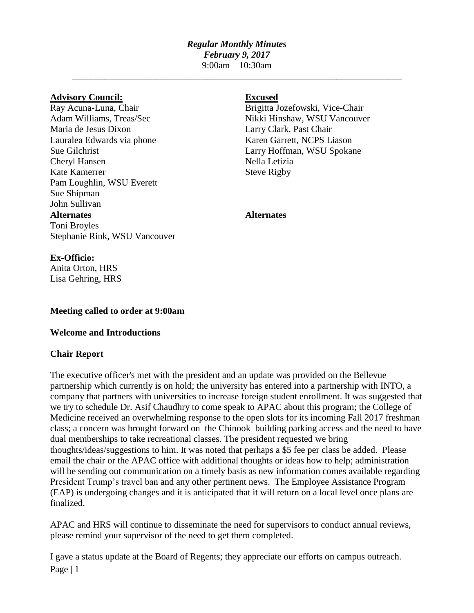# *Regular Monthly Minutes February 9, 2017*

9:00am – 10:30am \_\_\_\_\_\_\_\_\_\_\_\_\_\_\_\_\_\_\_\_\_\_\_\_\_\_\_\_\_\_\_\_\_\_\_\_\_\_\_\_\_\_\_\_\_\_\_\_\_\_\_\_\_\_\_\_\_\_\_\_\_\_\_\_\_\_\_\_\_\_\_

### **Advisory Council: Excused**

Maria de Jesus Dixon Larry Clark, Past Chair Lauralea Edwards via phone Karen Garrett, NCPS Liason Sue Gilchrist Larry Hoffman, WSU Spokane Cheryl Hansen Nella Letizia Kate Kamerrer Steve Rigby Pam Loughlin, WSU Everett Sue Shipman John Sullivan **Alternates Alternates** Toni Broyles Stephanie Rink, WSU Vancouver

Ray Acuna-Luna, Chair Brigitta Jozefowski, Vice-Chair Adam Williams, Treas/Sec Nikki Hinshaw, WSU Vancouver

# **Ex-Officio:**

Anita Orton, HRS Lisa Gehring, HRS

## **Meeting called to order at 9:00am**

## **Welcome and Introductions**

## **Chair Report**

The executive officer's met with the president and an update was provided on the Bellevue partnership which currently is on hold; the university has entered into a partnership with INTO, a company that partners with universities to increase foreign student enrollment. It was suggested that we try to schedule Dr. Asif Chaudhry to come speak to APAC about this program; the College of Medicine received an overwhelming response to the open slots for its incoming Fall 2017 freshman class; a concern was brought forward on the Chinook building parking access and the need to have dual memberships to take recreational classes. The president requested we bring thoughts/ideas/suggestions to him. It was noted that perhaps a \$5 fee per class be added. Please email the chair or the APAC office with additional thoughts or ideas how to help; administration will be sending out communication on a timely basis as new information comes available regarding President Trump's travel ban and any other pertinent news. The Employee Assistance Program (EAP) is undergoing changes and it is anticipated that it will return on a local level once plans are finalized.

APAC and HRS will continue to disseminate the need for supervisors to conduct annual reviews, please remind your supervisor of the need to get them completed.

Page | 1 I gave a status update at the Board of Regents; they appreciate our efforts on campus outreach.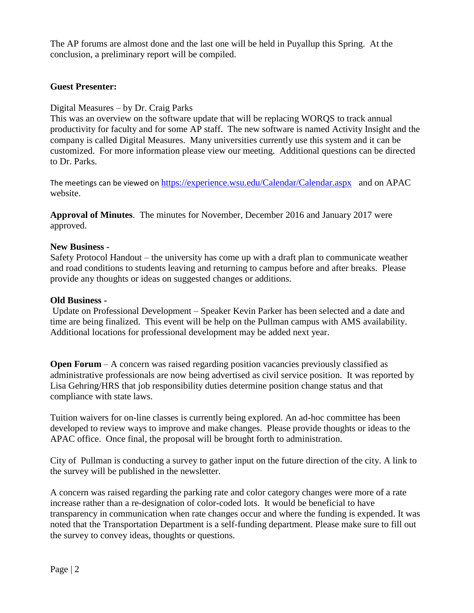The AP forums are almost done and the last one will be held in Puyallup this Spring. At the conclusion, a preliminary report will be compiled.

## **Guest Presenter:**

## Digital Measures – by Dr. Craig Parks

This was an overview on the software update that will be replacing WORQS to track annual productivity for faculty and for some AP staff. The new software is named Activity Insight and the company is called Digital Measures. Many universities currently use this system and it can be customized. For more information please view our meeting. Additional questions can be directed to Dr. Parks.

The meetings can be viewed on <https://experience.wsu.edu/Calendar/Calendar.aspx>and on APAC website.

**Approval of Minutes**. The minutes for November, December 2016 and January 2017 were approved.

### **New Business -**

Safety Protocol Handout – the university has come up with a draft plan to communicate weather and road conditions to students leaving and returning to campus before and after breaks. Please provide any thoughts or ideas on suggested changes or additions.

### **Old Business -**

Update on Professional Development – Speaker Kevin Parker has been selected and a date and time are being finalized. This event will be help on the Pullman campus with AMS availability. Additional locations for professional development may be added next year.

**Open Forum** – A concern was raised regarding position vacancies previously classified as administrative professionals are now being advertised as civil service position. It was reported by Lisa Gehring/HRS that job responsibility duties determine position change status and that compliance with state laws.

Tuition waivers for on-line classes is currently being explored. An ad-hoc committee has been developed to review ways to improve and make changes. Please provide thoughts or ideas to the APAC office. Once final, the proposal will be brought forth to administration.

City of Pullman is conducting a survey to gather input on the future direction of the city. A link to the survey will be published in the newsletter.

A concern was raised regarding the parking rate and color category changes were more of a rate increase rather than a re-designation of color-coded lots. It would be beneficial to have transparency in communication when rate changes occur and where the funding is expended. It was noted that the Transportation Department is a self-funding department. Please make sure to fill out the survey to convey ideas, thoughts or questions.